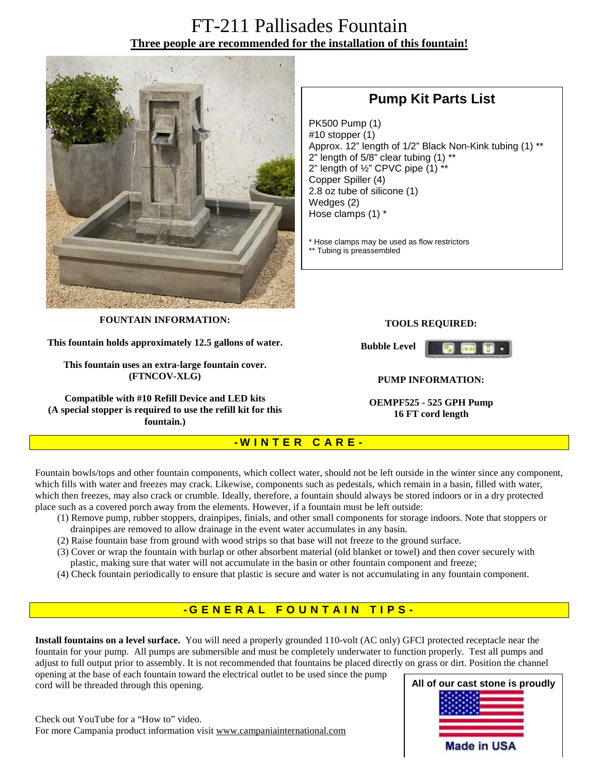# FT-211 Pallisades Fountain **Three people are recommended for the installation of this fountain!**



## **Pump Kit Parts List**

PK500 Pump (1) #10 stopper (1) Approx. 12" length of 1/2" Black Non-Kink tubing (1) \*\*  $2$ " length of 5/8" clear tubing  $(1)$  \*\* 2" length of  $\frac{1}{2}$ " CPVC pipe  $(1)$ \*\* Copper Spiller (4) 2.8 oz tube of silicone (1) Wedges (2) Hose clamps (1) \*

\* Hose clamps may be used as flow restrictors \*\* Tubing is preassembled

**FOUNTAIN INFORMATION:** 

**This fountain holds approximately 12.5 gallons of water.** 

**This fountain uses an extra-large fountain cover. (FTNCOV-XLG)** 

**Compatible with #10 Refill Device and LED kits (A special stopper is required to use the refill kit for this fountain.)**

#### **TOOLS REQUIRED:**

**Bubble Level** 



#### **PUMP INFORMATION:**

**OEMPF525 - 525 GPH Pump 16 FT cord length**

### **- W I N T E R C A R E -**

Fountain bowls/tops and other fountain components, which collect water, should not be left outside in the winter since any component, which fills with water and freezes may crack. Likewise, components such as pedestals, which remain in a basin, filled with water, which then freezes, may also crack or crumble. Ideally, therefore, a fountain should always be stored indoors or in a dry protected place such as a covered porch away from the elements. However, if a fountain must be left outside:

- (1) Remove pump, rubber stoppers, drainpipes, finials, and other small components for storage indoors. Note that stoppers or drainpipes are removed to allow drainage in the event water accumulates in any basin.
- (2) Raise fountain base from ground with wood strips so that base will not freeze to the ground surface.
- (3) Cover or wrap the fountain with burlap or other absorbent material (old blanket or towel) and then cover securely with plastic, making sure that water will not accumulate in the basin or other fountain component and freeze;
- (4) Check fountain periodically to ensure that plastic is secure and water is not accumulating in any fountain component.

### **- G ENE R A L F O U N T A I N T I P S -**

**Install fountains on a level surface.** You will need a properly grounded 110-volt (AC only) GFCI protected receptacle near the fountain for your pump. All pumps are submersible and must be completely underwater to function properly. Test all pumps and adjust to full output prior to assembly. It is not recommended that fountains be placed directly on grass or dirt. Position the channel

opening at the base of each fountain toward the electrical outlet to be used since the pump cord will be threaded through this opening.



Check out YouTube for a "How to" video. For more Campania product information visit [www.campaniainternational.com](http://www.campaniainternational.com)